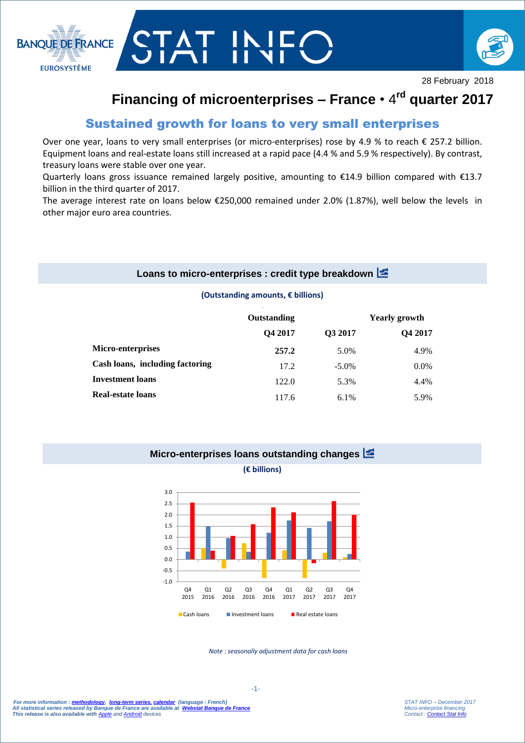



28 February 2018

# **Financing of microenterprises – France** • 4 **rd quarter 2017**

# Sustained growth for loans to very small enterprises

Over one year, loans to very small enterprises (or micro-enterprises) rose by 4.9 % to reach € 257.2 billion. Equipment loans and real-estate loans still increased at a rapid pace (4.4 % and 5.9 % respectively). By contrast, treasury loans were stable over one year.

Quarterly loans gross issuance remained largely positive, amounting to  $\epsilon$ 14.9 billion compared with  $\epsilon$ 13.7 billion in the third quarter of 2017.

The average interest rate on loans below €250,000 remained under 2.0% (1.87%), well below the levels in other major euro area countries.

### **Loans to micro-enterprises : credit type breakdown**

#### **(Outstanding amounts, € billions)**

|                                 | Outstanding |          | <b>Yearly growth</b> |
|---------------------------------|-------------|----------|----------------------|
|                                 | Q4 2017     | Q3 2017  | Q4 2017              |
| <b>Micro-enterprises</b>        | 257.2       | 5.0%     | 4.9%                 |
| Cash loans, including factoring | 17.2        | $-5.0\%$ | $0.0\%$              |
| <b>Investment loans</b>         | 122.0       | 5.3%     | 4.4%                 |
| <b>Real-estate loans</b>        | 117.6       | $6.1\%$  | 5.9%                 |

# **Micro-enterprises loans outstanding changes (€ billions)**



*Note : seasonally adjustment data for cash loans*